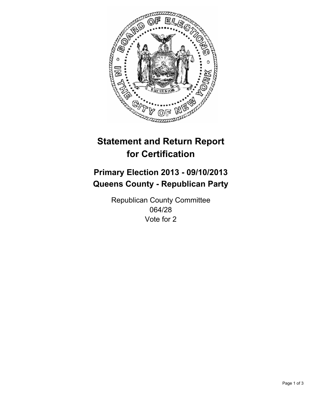

# **Statement and Return Report for Certification**

## **Primary Election 2013 - 09/10/2013 Queens County - Republican Party**

Republican County Committee 064/28 Vote for 2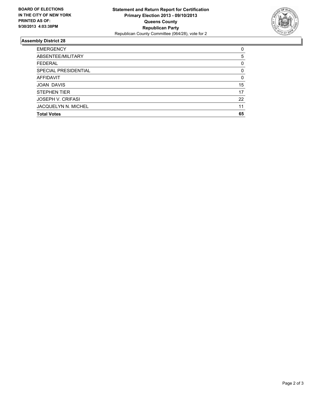

### **Assembly District 28**

| 0        |
|----------|
| 5        |
| 0        |
| $\Omega$ |
| $\Omega$ |
| 15       |
| 17       |
| 22       |
| 11       |
| 65       |
|          |